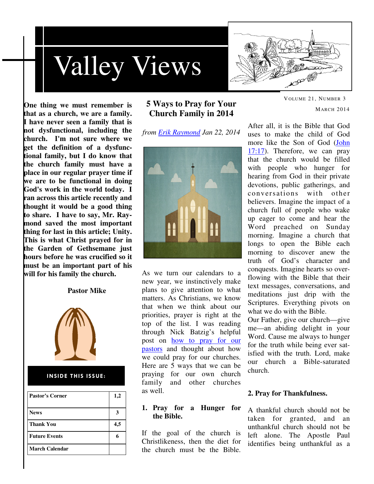



**One thing we must remember is that as a church, we are a family. I have never seen a family that is not dysfunctional, including the church. I'm not sure where we get the definition of a dysfunctional family, but I do know that the church family must have a place in our regular prayer time if we are to be functional in doing God's work in the world today. I ran across this article recently and thought it would be a good thing to share. I have to say, Mr. Raymond saved the most important thing for last in this article; Unity. This is what Christ prayed for in the Garden of Gethsemane just hours before he was crucified so it must be an important part of his will for his family the church.** 

#### **Pastor Mike**



#### INSIDE THIS ISSUE:

| Pastor's Corner       | 1,2 |
|-----------------------|-----|
| <b>News</b>           |     |
| <b>Thank You</b>      | 4,5 |
| <b>Future Events</b>  |     |
| <b>March Calendar</b> |     |

## **5 Ways to Pray for Your Church Family in 2014**

*from Erik Raymond Jan 22, 2014* 



As we turn our calendars to a new year, we instinctively make plans to give attention to what matters. As Christians, we know that when we think about our priorities, prayer is right at the top of the list. I was reading through Nick Batzig's helpful post on how to pray for our pastors and thought about how we could pray for our churches. Here are 5 ways that we can be praying for our own church family and other churches as well.

## **1. Pray for a Hunger for the Bible.**

If the goal of the church is Christlikeness, then the diet for the church must be the Bible.

MARCH 2014 After all, it is the Bible that God

VOLUME 21, NUMBER 3

uses to make the child of God more like the Son of God (John 17:17). Therefore, we can pray that the church would be filled with people who hunger for hearing from God in their private devotions, public gatherings, and conversations with other believers. Imagine the impact of a church full of people who wake up eager to come and hear the Word preached on Sunday morning. Imagine a church that longs to open the Bible each morning to discover anew the truth of God's character and conquests. Imagine hearts so overflowing with the Bible that their text messages, conversations, and meditations just drip with the Scriptures. Everything pivots on what we do with the Bible.

Our Father, give our church—give me—an abiding delight in your Word. Cause me always to hunger for the truth while being ever satisfied with the truth. Lord, make our church a Bible-saturated church.

#### **2. Pray for Thankfulness.**

A thankful church should not be taken for granted, and an unthankful church should not be left alone. The Apostle Paul identifies being unthankful as a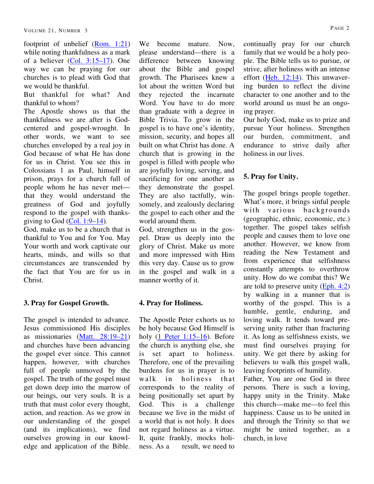footprint of unbelief (Rom. 1:21) while noting thankfulness as a mark of a believer (Col. 3:15–17). One way we can be praying for our churches is to plead with God that we would be thankful.

But thankful for what? And thankful to whom?

The Apostle shows us that the thankfulness we are after is Godcentered and gospel-wrought. In other words, we want to see churches enveloped by a real joy in God because of what He has done for us in Christ. You see this in Colossians 1 as Paul, himself in prison, prays for a church full of people whom he has never met that they would understand the greatness of God and joyfully respond to the gospel with thanksgiving to God  $(Col. 1:9-14)$ .

God, make us to be a church that is thankful to You and for You. May Your worth and work captivate our hearts, minds, and wills so that circumstances are transcended by the fact that You are for us in Christ.

## **3. Pray for Gospel Growth.**

The gospel is intended to advance. Jesus commissioned His disciples as missionaries (Matt. 28:19–21) and churches have been advancing the gospel ever since. This cannot happen, however, with churches full of people unmoved by the gospel. The truth of the gospel must get down deep into the marrow of our beings, our very souls. It is a truth that must color every thought, action, and reaction. As we grow in our understanding of the gospel (and its implications), we find ourselves growing in our knowledge and application of the Bible.

We become mature. Now, please understand—there is a difference between knowing about the Bible and gospel growth. The Pharisees knew a lot about the written Word but they rejected the incarnate Word. You have to do more than graduate with a degree in Bible Trivia. To grow in the gospel is to have one's identity, mission, security, and hopes all built on what Christ has done. A church that is growing in the gospel is filled with people who are joyfully loving, serving, and sacrificing for one another as they demonstrate the gospel. They are also tactfully, winsomely, and zealously declaring the gospel to each other and the world around them.

God, strengthen us in the gospel. Draw us deeply into the glory of Christ. Make us more and more impressed with Him this very day. Cause us to grow in the gospel and walk in a manner worthy of it.

## **4. Pray for Holiness.**

The Apostle Peter exhorts us to be holy because God Himself is holy  $(1$  Peter 1:15–16). Before the church is anything else, she is set apart to holiness. Therefore, one of the prevailing burdens for us in prayer is to walk in holiness that corresponds to the reality of being positionally set apart by God. This is a challenge because we live in the midst of a world that is not holy. It does not regard holiness as a virtue. It, quite frankly, mocks holiness. As a result, we need to

continually pray for our church family that we would be a holy people. The Bible tells us to pursue, or strive, after holiness with an intense effort (Heb. 12:14). This unwavering burden to reflect the divine character to one another and to the world around us must be an ongoing prayer.

Our holy God, make us to prize and pursue Your holiness. Strengthen our burden, commitment, and endurance to strive daily after holiness in our lives.

## **5. Pray for Unity.**

The gospel brings people together. What's more, it brings sinful people with various backgrounds (geographic, ethnic, economic, etc.) together. The gospel takes selfish people and causes them to love one another. However, we know from reading the New Testament and from experience that selfishness constantly attempts to overthrow unity. How do we combat this? We are told to preserve unity (Eph. 4:2) by walking in a manner that is worthy of the gospel. This is a humble, gentle, enduring, and loving walk. It tends toward preserving unity rather than fracturing it. As long as selfishness exists, we must find ourselves praying for unity. We get there by asking for believers to walk this gospel walk, leaving footprints of humility.

Father, You are one God in three persons. There is such a loving, happy unity in the Trinity. Make this church—make me—to feel this happiness. Cause us to be united in and through the Trinity so that we might be united together, as a church, in love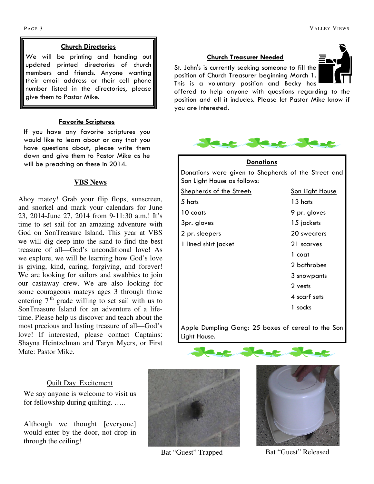## Church Directories

We will be printing and handing out updated printed directories of church members and friends. Anyone wanting their email address or their cell phone number listed in the directories, please give them to Pastor Mike.

#### Favorite Scriptures

If you have any favorite scriptures you would like to learn about or any that you have questions about, please write them down and give them to Pastor Mike as he will be preaching on these in 2014.

## **VBS News**

Ahoy matey! Grab your flip flops, sunscreen, and snorkel and mark your calendars for June 23, 2014-June 27, 2014 from 9-11:30 a.m.! It's time to set sail for an amazing adventure with God on SonTreasure Island. This year at VBS we will dig deep into the sand to find the best treasure of all—God's unconditional love! As we explore, we will be learning how God's love is giving, kind, caring, forgiving, and forever! We are looking for sailors and swabbies to join our castaway crew. We are also looking for some courageous mateys ages 3 through those entering  $7<sup>th</sup>$  grade willing to set sail with us to SonTreasure Island for an adventure of a lifetime. Please help us discover and teach about the most precious and lasting treasure of all—God's love! If interested, please contact Captains: Shayna Heintzelman and Taryn Myers, or First Mate: Pastor Mike.

## Quilt Day Excitement

We say anyone is welcome to visit us for fellowship during quilting. …..

Although we thought [everyone] would enter by the door, not drop in through the ceiling!



St. John's is currently seeking someone to fill the position of Church Treasurer beginning March 1. This is a voluntary position and Becky has



offered to help anyone with questions regarding to the position and all it includes. Please let Pastor Mike know if you are interested.



| <b>Donations</b>                                                                   |                        |  |  |  |
|------------------------------------------------------------------------------------|------------------------|--|--|--|
| Donations were given to Shepherds of the Street and<br>Son Light House as follows: |                        |  |  |  |
| <b>Shepherds of the Street:</b>                                                    | <b>Son Light House</b> |  |  |  |
| 5 hats                                                                             | 13 hats                |  |  |  |
| 10 coats                                                                           | 9 pr. gloves           |  |  |  |
| 3pr. gloves                                                                        | 15 jackets             |  |  |  |
| 2 pr. sleepers                                                                     | 20 sweaters            |  |  |  |
| 1 lined shirt jacket                                                               | 21 scarves             |  |  |  |
|                                                                                    | 1 coat                 |  |  |  |
|                                                                                    | 2 bathrobes            |  |  |  |
|                                                                                    | 3 snowpants            |  |  |  |
|                                                                                    | 2 vests                |  |  |  |
|                                                                                    | 4 scarf sets           |  |  |  |
|                                                                                    | 1 socks                |  |  |  |
|                                                                                    |                        |  |  |  |

Apple Dumpling Gang: 25 boxes of cereal to the Son Light House.



Bat "Guest" Trapped



Bat "Guest" Released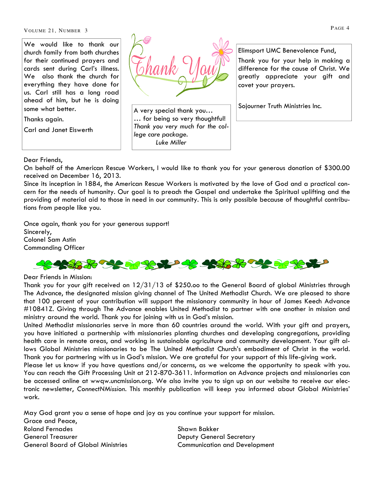VOLUME 21, NUMBER 3

We would like to thank our church family from both churches for their continued prayers and cards sent during Carl's illness. We also thank the church for everything they have done for us. Carl still has a long road ahead of him, but he is doing some what better.

Thanks again.

Carl and Janet Eiswerth



A very special thank you… … for being so very thoughtful! Thank you very much for the college care package. Luke Miller

Elimsport UMC Benevolence Fund, Thank you for your help in making a difference for the cause of Christ. We greatly appreciate your gift and covet your prayers.

Sojourner Truth Ministries Inc.

#### Dear Friends,

On behalf of the American Rescue Workers, I would like to thank you for your generous donation of \$300.00 received on December 16, 2013.

Since its inception in 1884, the American Rescue Workers is motivated by the love of God and a practical concern for the needs of humanity. Our goal is to preach the Gospel and undertake the Spiritual uplifting and the providing of material aid to those in need in our community. This is only possible because of thoughtful contributions from people like you.

Once again, thank you for your generous support! Sincerely, Colonel Sam Astin Commanding Officer



#### Dear Friends in Mission:

Thank you for your gift received on 12/31/13 of \$250.oo to the General Board of global Ministries through The Advance, the designated mission giving channel of The United Methodist Church. We are pleased to share that 100 percent of your contribution will support the missionary community in hour of James Keech Advance #10841Z. Giving through The Advance enables United Methodist to partner with one another in mission and ministry around the world. Thank you for joining with us in God's mission.

United Methodist missionaries serve in more than 60 countries around the world. With your gift and prayers, you have initiated a partnership with missionaries planting churches and developing congregations, providing health care in remote areas, and working in sustainable agriculture and community development. Your gift allows Global Ministries missionaries to be The United Methodist Church's embodiment of Christ in the world. Thank you for partnering with us in God's mission. We are grateful for your support of this life-giving work.

Please let us know if you have questions and/or concerns, as we welcome the opportunity to speak with you. You can reach the Gift Processing Unit at 212-870-3611. Information on Advance projects and missionaries can be accessed online at wwqw.uncmission.org. We also invite you to sign up on our website to receive our electronic newsletter, ConnectNMission. This monthly publication will keep you informed about Global Ministries' work.

May God grant you a sense of hope and joy as you continue your support for mission. Grace and Peace, Roland Fernades Shawn Bakker General Treasurer Deputy General Secretary General Board of Global Ministries Communication and Development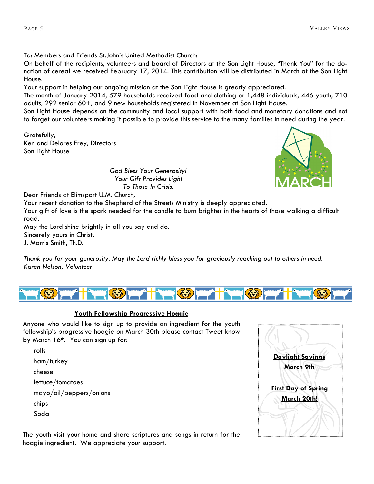To: Members and Friends St.John's United Methodist Church:

On behalf of the recipients, volunteers and board of Directors at the Son Light House, "Thank You" for the donation of cereal we received February 17, 2014. This contribution will be distributed in March at the Son Light House.

Your support in helping our ongoing mission at the Son Light House is greatly appreciated.

The month of January 2014, 579 households received food and clothing or 1,448 individuals, 446 youth, 710 adults, 292 senior 60+, and 9 new households registered in November at Son Light House.

Son Light House depends on the community and local support with both food and monetary donations and not to forget our volunteers making it possible to provide this service to the many families in need during the year.

Gratefully, Ken and Delores Frey, Directors Son Light House

God Bless Your Generosity! Your Gift Provides Light To Those In Crisis.

Dear Friends at Elimsport U.M. Church,

Your recent donation to the Shepherd of the Streets Ministry is deeply appreciated.

Your gift of love is the spark needed for the candle to burn brighter in the hearts of those walking a difficult road.

May the Lord shine brightly in all you say and do.

Sincerely yours in Christ,

J. Morris Smith, Th.D.

Thank you for your generosity. May the Lord richly bless you for graciously reaching out to others in need. Karen Nelson, Volunteer



## Youth Fellowship Progressive Hoagie

Anyone who would like to sign up to provide an ingredient for the youth fellowship's progressive hoagie on March 30th please contact Tweet know by March 16<sup>th</sup>. You can sign up for:

rolls ham/turkey cheese lettuce/tomatoes mayo/oil/peppers/onions chips Soda

The youth visit your home and share scriptures and songs in return for the hoagie ingredient. We appreciate your support.

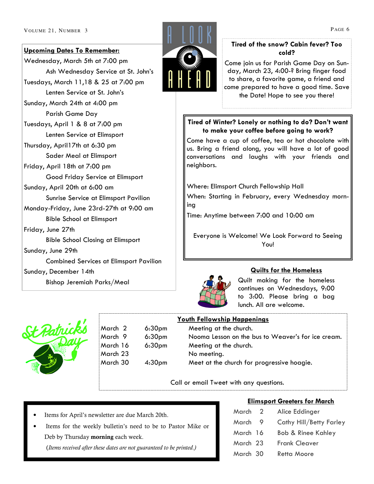#### Upcoming Dates To Remember:

Wednesday, March 5th at 7:00 pm Ash Wednesday Service at St. John's Tuesdays, March 11,18 & 25 at 7:00 pm Lenten Service at St. John's Sunday, March 24th at 4:00 pm Parish Game Day Tuesdays, April 1 & 8 at 7:00 pm Lenten Service at Elimsport Thursday, April17th at 6:30 pm Sader Meal at Elimsport Friday, April 18th at 7:00 pm Good Friday Service at Elimsport Sunday, April 20th at 6:00 am Sunrise Service at Elimsport Pavilion Monday-Friday, June 23rd-27th at 9:00 am Bible School at Elimsport Friday, June 27th Bible School Closing at Elimsport Sunday, June 29th Combined Services at Elimsport Pavilion Sunday, December 14th Bishop Jeremiah Parks/Meal



## Tired of the snow? Cabin fever? Too cold?

Come join us for Parish Game Day on Sunday, March 23, 4:00-? Bring finger food to share, a favorite game, a friend and come prepared to have a good time. Save the Date! Hope to see you there!

## Tired of Winter? Lonely or nothing to do? Don't want to make your coffee before going to work?

Come have a cup of coffee, tea or hot chocolate with us. Bring a friend along, you will have a lot of good conversations and laughs with your friends and neighbors.

Where: Elimsport Church Fellowship Hall

When: Starting in February, every Wednesday morning

Time: Anytime between 7:00 and 10:00 am

Everyone is Welcome! We Look Forward to Seeing You!



## Quilts for the Homeless

Quilt making for the homeless continues on Wednesdays, 9:00 to 3:00. Please bring a bag lunch. All are welcome.



March  $2$  6:30pm March 16 6:30pm March 23 March  $30$  4:30pm

## Youth Fellowship Happenings

| March 2  | 6:30 <sub>pm</sub> | Meeting at the church.                             |
|----------|--------------------|----------------------------------------------------|
| March 9  | 6:30 <sub>pm</sub> | Nooma Lesson on the bus to Weaver's for ice cream. |
| March 16 | 6:30 <sub>pm</sub> | Meeting at the church.                             |
| March 23 |                    | No meeting.                                        |
| March 30 | 4:30 <sub>pm</sub> | Meet at the church for progressive hoagie.         |
|          |                    |                                                    |

Call or email Tweet with any questions.

- Items for April's newsletter are due March 20th.
- Items for the weekly bulletin's need to be to Pastor Mike or Deb by Thursday morning each week.

(Items received after these dates are not guaranteed to be printed.)

## Elimsport Greeters for March

| March    | $\mathcal{L}$ | Alice Eddinger                |
|----------|---------------|-------------------------------|
| March    | - 9           | Cathy Hill/Betty Farley       |
| March 16 |               | <b>Bob &amp; Rinee Kahley</b> |
| March 23 |               | Frank Cleaver                 |
| March 30 |               | Retta Moore                   |